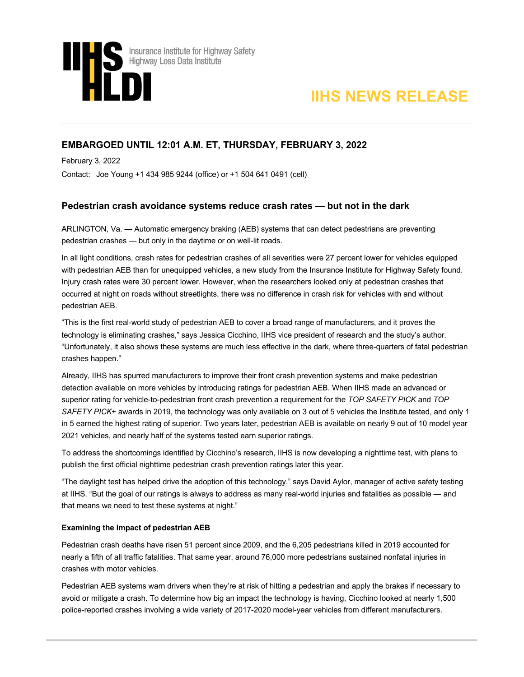



# **EMBARGOED UNTIL 12:01 A.M. ET, THURSDAY, FEBRUARY 3, 2022**

February 3, 2022

Contact: Joe Young +1 434 985 9244 (office) or +1 504 641 0491 (cell)

## **Pedestrian crash avoidance systems reduce crash rates — but not in the dark**

ARLINGTON, Va. — Automatic emergency braking (AEB) systems that can detect pedestrians are preventing pedestrian crashes — but only in the daytime or on well-lit roads.

In all light conditions, crash rates for pedestrian crashes of all severities were 27 percent lower for vehicles equipped with pedestrian AEB than for unequipped vehicles, a new study from the Insurance Institute for Highway Safety found. Injury crash rates were 30 percent lower. However, when the researchers looked only at pedestrian crashes that occurred at night on roads without streetlights, there was no difference in crash risk for vehicles with and without pedestrian AEB.

"This is the first real-world study of pedestrian AEB to cover a broad range of manufacturers, and it proves the technology is eliminating crashes," says Jessica Cicchino, IIHS vice president of research and the study's author. "Unfortunately, it also shows these systems are much less effective in the dark, where three-quarters of fatal pedestrian crashes happen."

Already, IIHS has spurred manufacturers to improve their front crash prevention systems and make pedestrian detection available on more vehicles by introducing ratings for pedestrian AEB. When IIHS made an advanced or superior rating for vehicle-to-pedestrian front crash prevention a requirement for the *TOP SAFETY PICK* and *TOP SAFETY PICK*+ awards in 2019, the technology was only available on 3 out of 5 vehicles the Institute tested, and only 1 in 5 earned the highest rating of superior. Two years later, pedestrian AEB is available on nearly 9 out of 10 model year 2021 vehicles, and nearly half of the systems tested earn superior ratings.

To address the shortcomings identified by Cicchino's research, IIHS is now developing a nighttime test, with plans to publish the first official nighttime pedestrian crash prevention ratings later this year.

"The daylight test has helped drive the adoption of this technology," says David Aylor, manager of active safety testing at IIHS. "But the goal of our ratings is always to address as many real-world injuries and fatalities as possible — and that means we need to test these systems at night."

### **Examining the impact of pedestrian AEB**

Pedestrian crash deaths have risen 51 percent since 2009, and the 6,205 pedestrians killed in 2019 accounted for nearly a fifth of all traffic fatalities. That same year, around 76,000 more pedestrians sustained nonfatal injuries in crashes with motor vehicles.

Pedestrian AEB systems warn drivers when they're at risk of hitting a pedestrian and apply the brakes if necessary to avoid or mitigate a crash. To determine how big an impact the technology is having, Cicchino looked at nearly 1,500 police-reported crashes involving a wide variety of 2017-2020 model-year vehicles from different manufacturers.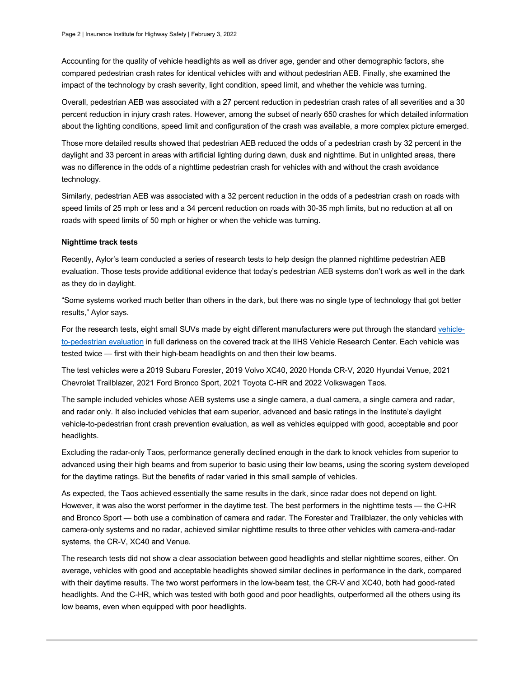Accounting for the quality of vehicle headlights as well as driver age, gender and other demographic factors, she compared pedestrian crash rates for identical vehicles with and without pedestrian AEB. Finally, she examined the impact of the technology by crash severity, light condition, speed limit, and whether the vehicle was turning.

Overall, pedestrian AEB was associated with a 27 percent reduction in pedestrian crash rates of all severities and a 30 percent reduction in injury crash rates. However, among the subset of nearly 650 crashes for which detailed information about the lighting conditions, speed limit and configuration of the crash was available, a more complex picture emerged.

Those more detailed results showed that pedestrian AEB reduced the odds of a pedestrian crash by 32 percent in the daylight and 33 percent in areas with artificial lighting during dawn, dusk and nighttime. But in unlighted areas, there was no difference in the odds of a nighttime pedestrian crash for vehicles with and without the crash avoidance technology.

Similarly, pedestrian AEB was associated with a 32 percent reduction in the odds of a pedestrian crash on roads with speed limits of 25 mph or less and a 34 percent reduction on roads with 30-35 mph limits, but no reduction at all on roads with speed limits of 50 mph or higher or when the vehicle was turning.

#### **Nighttime track tests**

Recently, Aylor's team conducted a series of research tests to help design the planned nighttime pedestrian AEB evaluation. Those tests provide additional evidence that today's pedestrian AEB systems don't work as well in the dark as they do in daylight.

"Some systems worked much better than others in the dark, but there was no single type of technology that got better results," Aylor says.

For the research tests, eight small SUVs made by eight different manufacturers were put through the standar[d vehicle](https://www.iihs.org/ratings/about-our-tests#front-crash-prevention-tests)[to-pedestrian evaluation](https://www.iihs.org/ratings/about-our-tests#front-crash-prevention-tests) in full darkness on the covered track at the IIHS Vehicle Research Center. Each vehicle was tested twice — first with their high-beam headlights on and then their low beams.

The test vehicles were a 2019 Subaru Forester, 2019 Volvo XC40, 2020 Honda CR-V, 2020 Hyundai Venue, 2021 Chevrolet Trailblazer, 2021 Ford Bronco Sport, 2021 Toyota C-HR and 2022 Volkswagen Taos.

The sample included vehicles whose AEB systems use a single camera, a dual camera, a single camera and radar, and radar only. It also included vehicles that earn superior, advanced and basic ratings in the Institute's daylight vehicle-to-pedestrian front crash prevention evaluation, as well as vehicles equipped with good, acceptable and poor headlights.

Excluding the radar-only Taos, performance generally declined enough in the dark to knock vehicles from superior to advanced using their high beams and from superior to basic using their low beams, using the scoring system developed for the daytime ratings. But the benefits of radar varied in this small sample of vehicles.

As expected, the Taos achieved essentially the same results in the dark, since radar does not depend on light. However, it was also the worst performer in the daytime test. The best performers in the nighttime tests — the C-HR and Bronco Sport — both use a combination of camera and radar. The Forester and Trailblazer, the only vehicles with camera-only systems and no radar, achieved similar nighttime results to three other vehicles with camera-and-radar systems, the CR-V, XC40 and Venue.

The research tests did not show a clear association between good headlights and stellar nighttime scores, either. On average, vehicles with good and acceptable headlights showed similar declines in performance in the dark, compared with their daytime results. The two worst performers in the low-beam test, the CR-V and XC40, both had good-rated headlights. And the C-HR, which was tested with both good and poor headlights, outperformed all the others using its low beams, even when equipped with poor headlights.